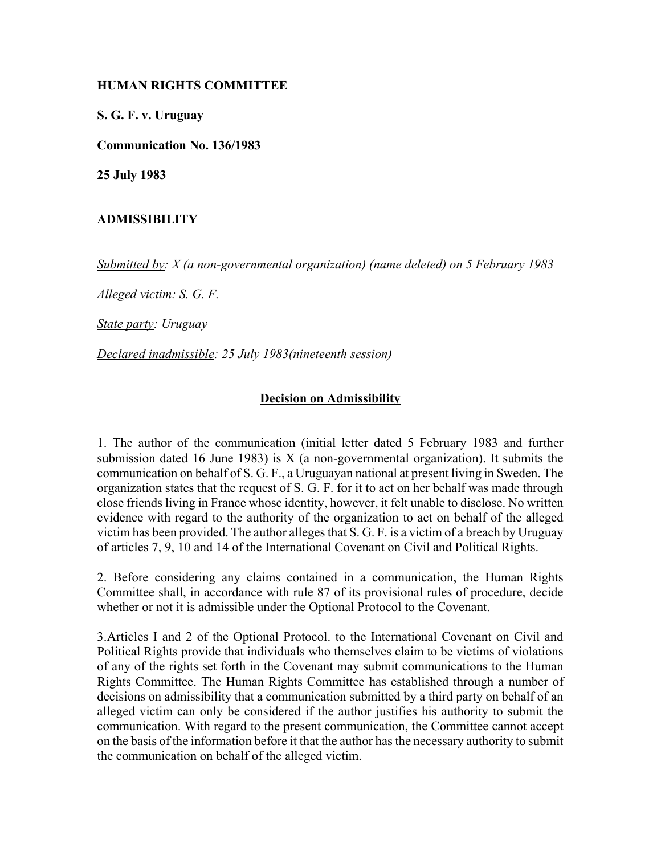## **HUMAN RIGHTS COMMITTEE**

## **S. G. F. v. Uruguay**

**Communication No. 136/1983**

**25 July 1983**

## **ADMISSIBILITY**

*Submitted by: X (a non-governmental organization) (name deleted) on 5 February 1983* 

*Alleged victim: S. G. F.* 

*State party: Uruguay* 

*Declared inadmissible: 25 July 1983(nineteenth session)* 

## **Decision on Admissibility**

1. The author of the communication (initial letter dated 5 February 1983 and further submission dated 16 June 1983) is  $X$  (a non-governmental organization). It submits the communication on behalf of S. G. F., a Uruguayan national at present living in Sweden. The organization states that the request of S. G. F. for it to act on her behalf was made through close friends living in France whose identity, however, it felt unable to disclose. No written evidence with regard to the authority of the organization to act on behalf of the alleged victim has been provided. The author alleges that S. G. F. is a victim of a breach by Uruguay of articles 7, 9, 10 and 14 of the International Covenant on Civil and Political Rights.

2. Before considering any claims contained in a communication, the Human Rights Committee shall, in accordance with rule 87 of its provisional rules of procedure, decide whether or not it is admissible under the Optional Protocol to the Covenant.

3.Articles I and 2 of the Optional Protocol. to the International Covenant on Civil and Political Rights provide that individuals who themselves claim to be victims of violations of any of the rights set forth in the Covenant may submit communications to the Human Rights Committee. The Human Rights Committee has established through a number of decisions on admissibility that a communication submitted by a third party on behalf of an alleged victim can only be considered if the author justifies his authority to submit the communication. With regard to the present communication, the Committee cannot accept on the basis of the information before it that the author has the necessary authority to submit the communication on behalf of the alleged victim.